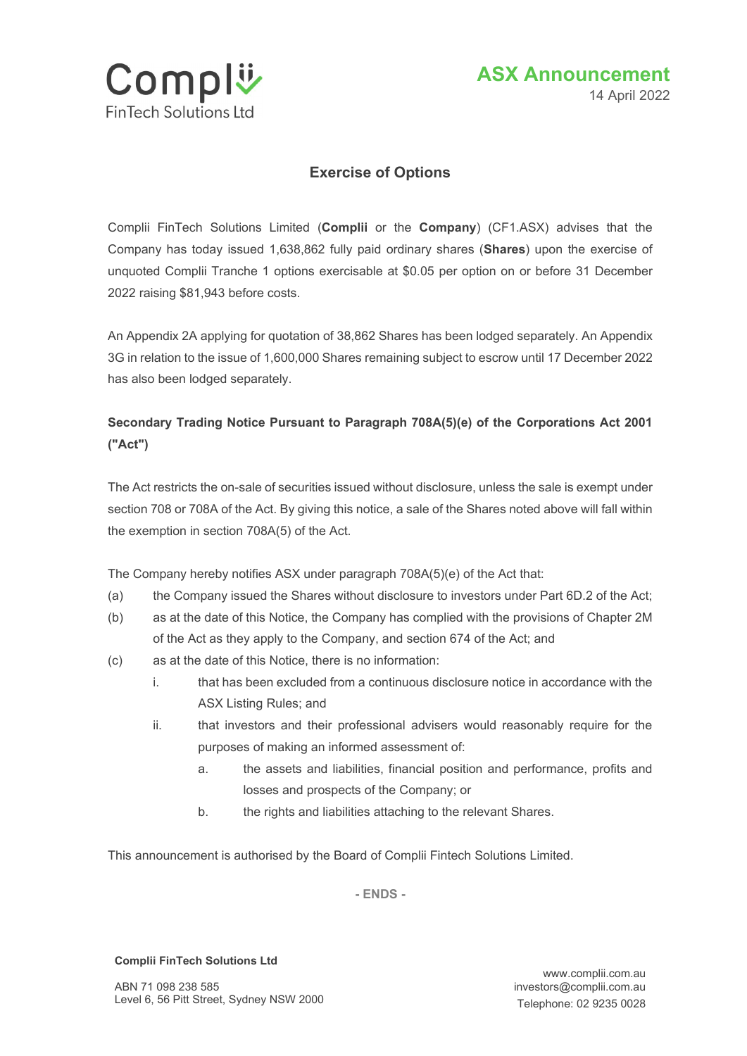



## **Exercise of Options**

Complii FinTech Solutions Limited (**Complii** or the **Company**) (CF1.ASX) advises that the Company has today issued 1,638,862 fully paid ordinary shares (**Shares**) upon the exercise of unquoted Complii Tranche 1 options exercisable at \$0.05 per option on or before 31 December 2022 raising \$81,943 before costs.

An Appendix 2A applying for quotation of 38,862 Shares has been lodged separately. An Appendix 3G in relation to the issue of 1,600,000 Shares remaining subject to escrow until 17 December 2022 has also been lodged separately.

## **Secondary Trading Notice Pursuant to Paragraph 708A(5)(e) of the Corporations Act 2001 ("Act")**

The Act restricts the on-sale of securities issued without disclosure, unless the sale is exempt under section 708 or 708A of the Act. By giving this notice, a sale of the Shares noted above will fall within the exemption in section 708A(5) of the Act.

The Company hereby notifies ASX under paragraph 708A(5)(e) of the Act that:

- (a) the Company issued the Shares without disclosure to investors under Part 6D.2 of the Act;
- (b) as at the date of this Notice, the Company has complied with the provisions of Chapter 2M of the Act as they apply to the Company, and section 674 of the Act; and
- (c) as at the date of this Notice, there is no information:
	- i. that has been excluded from a continuous disclosure notice in accordance with the ASX Listing Rules; and
	- ii. that investors and their professional advisers would reasonably require for the purposes of making an informed assessment of:
		- a. the assets and liabilities, financial position and performance, profits and losses and prospects of the Company; or
		- b. the rights and liabilities attaching to the relevant Shares.

This announcement is authorised by the Board of Complii Fintech Solutions Limited.

**- ENDS -**

## **Complii FinTech Solutions Ltd**